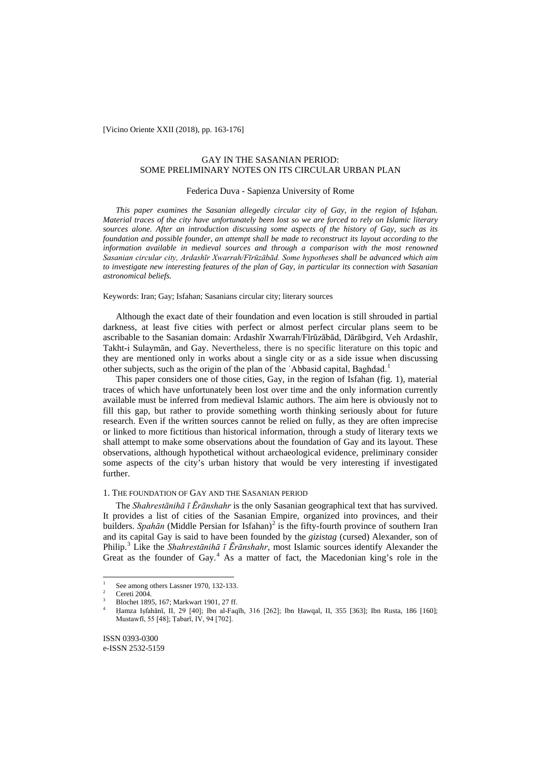[Vicino Oriente XXII (2018), pp. 163-176]

# GAY IN THE SASANIAN PERIOD: SOME PRELIMINARY NOTES ON ITS CIRCULAR URBAN PLAN

# Federica Duva - Sapienza University of Rome

*This paper examines the Sasanian allegedly circular city of Gay, in the region of Isfahan. Material traces of the city have unfortunately been lost so we are forced to rely on Islamic literary sources alone. After an introduction discussing some aspects of the history of Gay, such as its foundation and possible founder, an attempt shall be made to reconstruct its layout according to the information available in medieval sources and through a comparison with the most renowned Sasanian circular city, Ardashīr Xwarrah/Fīrūzābād. Some hypotheses shall be advanced which aim to investigate new interesting features of the plan of Gay, in particular its connection with Sasanian astronomical beliefs.*

Keywords: Iran; Gay; Isfahan; Sasanians circular city; literary sources

Although the exact date of their foundation and even location is still shrouded in partial darkness, at least five cities with perfect or almost perfect circular plans seem to be ascribable to the Sasanian domain: Ardashīr Xwarrah/Fīrūzābād, Dārābgird, Veh Ardashīr, Takht-i Sulaymān, and Gay. Nevertheless, there is no specific literature on this topic and they are mentioned only in works about a single city or as a side issue when discussing other subjects, such as the origin of the plan of the 'Abbasid capital, Baghdad.<sup>[1](#page-12-0)</sup>

This paper considers one of those cities, Gay, in the region of Isfahan (fig. 1), material traces of which have unfortunately been lost over time and the only information currently available must be inferred from medieval Islamic authors. The aim here is obviously not to fill this gap, but rather to provide something worth thinking seriously about for future research. Even if the written sources cannot be relied on fully, as they are often imprecise or linked to more fictitious than historical information, through a study of literary texts we shall attempt to make some observations about the foundation of Gay and its layout. These observations, although hypothetical without archaeological evidence, preliminary consider some aspects of the city's urban history that would be very interesting if investigated further.

# 1. THE FOUNDATION OF GAY AND THE SASANIAN PERIOD

<span id="page-0-3"></span>The *Shahrestānihā ī Ērānshahr* is the only Sasanian geographical text that has survived. It provides a list of cities of the Sasanian Empire, organized into provinces, and their builders. *Spahān* (Middle Persian for Isfahan)<sup>[2](#page-0-0)</sup> is the fifty-fourth province of southern Iran and its capital Gay is said to have been founded by the *gizistag* (cursed) Alexander, son of Philip.[3](#page-0-1) Like the *Shahrestānihā ī Ērānshahr*, most Islamic sources identify Alexander the Great as the founder of Gay. $<sup>4</sup>$  $<sup>4</sup>$  $<sup>4</sup>$  As a matter of fact, the Macedonian king's role in the</sup>

<span id="page-0-0"></span><sup>&</sup>lt;sup>1</sup> See among others Lassner 1970, 132-133.<br><sup>2</sup> Cereti 2004.

<span id="page-0-1"></span><sup>&</sup>lt;sup>3</sup> Blochet 1895, 167; Markwart 1901, 27 ff.

<span id="page-0-2"></span><sup>4</sup> Ḥamza Iṣfahānī, II, 29 [40]; Ibn al-Faqīh, 316 [262]; Ibn Ḥawqal, II, 355 [363]; Ibn Rusta, 186 [160]; Mustawfī, 55 [48]; Ṭabarī, IV, 94 [702].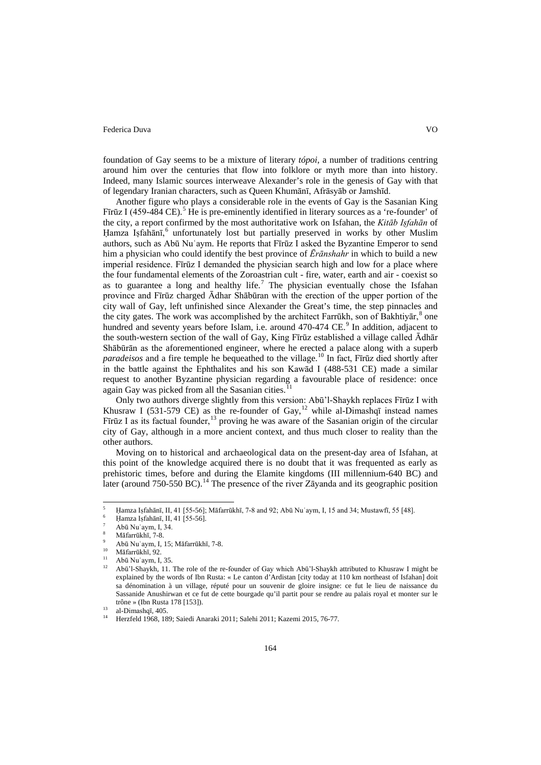foundation of Gay seems to be a mixture of literary *tópoi*, a number of traditions centring around him over the centuries that flow into folklore or myth more than into history. Indeed, many Islamic sources interweave Alexander's role in the genesis of Gay with that of legendary Iranian characters, such as Queen Khumānī, Afrāsyāb or Jamshīd.

Another figure who plays a considerable role in the events of Gay is the Sasanian King Firūz I (4[5](#page-0-3)9-484 CE).<sup>5</sup> He is pre-eminently identified in literary sources as a 're-founder' of the city, a report confirmed by the most authoritative work on Isfahan, the *Kitāb Iṣfahān* of Hamza Iṣfahānī,<sup>[6](#page-1-0)</sup> unfortunately lost but partially preserved in works by other Muslim authors, such as Abū Nuʿaym. He reports that Fīrūz I asked the Byzantine Emperor to send him a physician who could identify the best province of *Ērānshahr* in which to build a new imperial residence. Fīrūz I demanded the physician search high and low for a place where the four fundamental elements of the Zoroastrian cult - fire, water, earth and air - coexist so as to guarantee a long and healthy life.<sup>[7](#page-1-1)</sup> The physician eventually chose the Isfahan province and Fīrūz charged Ādhar Shābūran with the erection of the upper portion of the city wall of Gay, left unfinished since Alexander the Great's time, the step pinnacles and the city gates. The work was accomplished by the architect Farrūkh, son of Bakhtiyar,  $\delta$  one hundred and seventy years before Islam, i.e. around 470-474 CE.<sup>[9](#page-1-3)</sup> In addition, adjacent to the south-western section of the wall of Gay, King Fīrūz established a village called Ādhār Shābūrān as the aforementioned engineer, where he erected a palace along with a superb *paradeisos* and a fire temple he bequeathed to the village. [10](#page-1-4) In fact, Fīrūz died shortly after in the battle against the Ephthalites and his son Kawād I (488-531 CE) made a similar request to another Byzantine physician regarding a favourable place of residence: once again Gay was picked from all the Sasanian cities.

Only two authors diverge slightly from this version: Abū'l-Shaykh replaces Fīrūz I with Khusraw I (531-579 CE) as the re-founder of Gay,<sup>[12](#page-1-6)</sup> while al-Dimashqī instead names Fīrūz I as its factual founder,<sup>[13](#page-1-7)</sup> proving he was aware of the Sasanian origin of the circular city of Gay, although in a more ancient context, and thus much closer to reality than the other authors.

Moving on to historical and archaeological data on the present-day area of Isfahan, at this point of the knowledge acquired there is no doubt that it was frequented as early as prehistoric times, before and during the Elamite kingdoms (III millennium-640 BC) and later (around 750-550 BC).<sup>[14](#page-1-8)</sup> The presence of the river Zāyanda and its geographic position

<span id="page-1-0"></span> <sup>5</sup> <sup>Ḥ</sup>amza Iṣfahānī, II, 41 [55-56]; Māfarrūkhī, 7-8 and 92; Abū Nuʿaym, I, 15 and 34; Mustawfī, 55 [48].

Hamza Isfahānī, II, 41 [55-56].

<sup>7</sup> Abū Nuʿaym, I, 34.

Māfarrūkhī, 7-8.

<span id="page-1-4"></span><span id="page-1-3"></span><span id="page-1-2"></span><span id="page-1-1"></span><sup>&</sup>lt;sup>9</sup> Abū Nuʿaym, I, 15; Māfarrūkhī, 7-8.

Māfarrūkhī, 92.

<sup>11</sup> Abū Nuʿaym, I, 35.

<span id="page-1-6"></span><span id="page-1-5"></span><sup>12</sup> Abū'l-Shaykh, 11. The role of the re-founder of Gay which Abū'l-Shaykh attributed to Khusraw I might be explained by the words of Ibn Rusta: « Le canton d'Ardistan [city today at 110 km northeast of Isfahan] doit sa dénomination à un village, réputé pour un souvenir de gloire insigne: ce fut le lieu de naissance du Sassanide Anushirwan et ce fut de cette bourgade qu'il partit pour se rendre au palais royal et monter sur le trône » (Ibn Rusta 178 [153]).

 $13$  al-Dimashqī, 405.

<span id="page-1-8"></span><span id="page-1-7"></span><sup>14</sup> Herzfeld 1968, 189; Saiedi Anaraki 2011; Salehi 2011; Kazemi 2015, 76-77.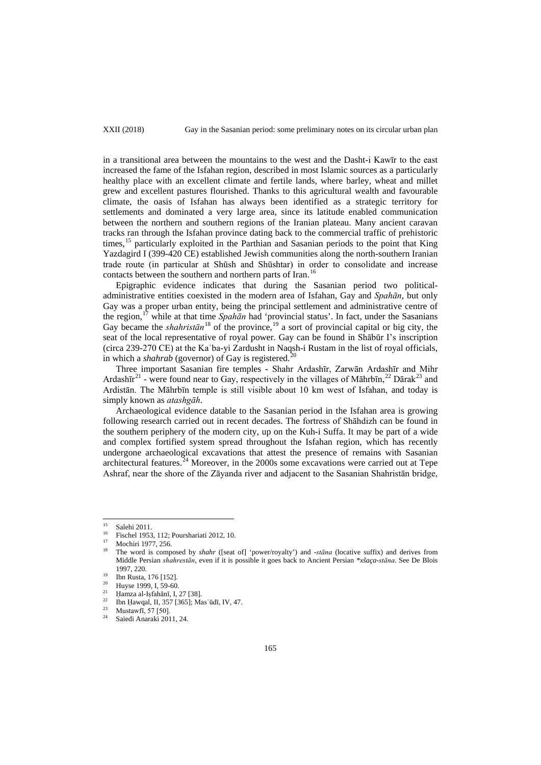XXII (2018) Gay in the Sasanian period: some preliminary notes on its circular urban plan

in a transitional area between the mountains to the west and the Dasht-i Kawīr to the east increased the fame of the Isfahan region, described in most Islamic sources as a particularly healthy place with an excellent climate and fertile lands, where barley, wheat and millet grew and excellent pastures flourished. Thanks to this agricultural wealth and favourable climate, the oasis of Isfahan has always been identified as a strategic territory for settlements and dominated a very large area, since its latitude enabled communication between the northern and southern regions of the Iranian plateau. Many ancient caravan tracks ran through the Isfahan province dating back to the commercial traffic of prehistoric times,<sup>[15](#page-1-1)</sup> particularly exploited in the Parthian and Sasanian periods to the point that King Yazdagird I (399-420 CE) established Jewish communities along the north-southern Iranian trade route (in particular at Shūsh and Shūshtar) in order to consolidate and increase contacts between the southern and northern parts of Iran.<sup>[16](#page-2-0)</sup>

Epigraphic evidence indicates that during the Sasanian period two politicaladministrative entities coexisted in the modern area of Isfahan, Gay and *Spahān*, but only Gay was a proper urban entity, being the principal settlement and administrative centre of the region,<sup>[17](#page-2-1)</sup> while at that time *Spahān* had 'provincial status'. In fact, under the Sasanians Gay became the *shahristan*<sup>[18](#page-2-2)</sup> of the province,<sup>[19](#page-2-3)</sup> a sort of provincial capital or big city, the seat of the local representative of royal power. Gay can be found in Shābūr I's inscription (circa 239-270 CE) at the Kaʾba-yi Zardusht in Naqsh-i Rustam in the list of royal officials, in which a *shahrab* (governor) of Gay is registered.<sup>[20](#page-2-4)</sup>

Three important Sasanian fire temples - Shahr Ardashīr, Zarwān Ardashīr and Mihr Ardash $\bar{x}^{21}$  $\bar{x}^{21}$  $\bar{x}^{21}$  - were found near to Gay, respectively in the villages of Māhrbīn,  $^{22}$  $^{22}$  $^{22}$  Dārak $^{23}$  $^{23}$  $^{23}$  and Ardistān. The Māhrbīn temple is still visible about 10 km west of Isfahan, and today is simply known as *atashgāh*.

Archaeological evidence datable to the Sasanian period in the Isfahan area is growing following research carried out in recent decades. The fortress of Shāhdizh can be found in the southern periphery of the modern city, up on the Kuh-i Suffa. It may be part of a wide and complex fortified system spread throughout the Isfahan region, which has recently undergone archaeological excavations that attest the presence of remains with Sasanian architectural features.<sup>[24](#page-2-8)</sup> Moreover, in the 2000s some excavations were carried out at Tepe Ashraf, near the shore of the Zāyanda river and adjacent to the Sasanian Shahristān bridge,

Salehi 2011.

<span id="page-2-0"></span><sup>&</sup>lt;sup>16</sup> Fischel 1953, 112; Pourshariati 2012, 10.

 $^{17}$  Mochiri 1977, 256.

<span id="page-2-2"></span><span id="page-2-1"></span><sup>18</sup> The word is composed by *shahr* ([seat of] 'power/royalty') and -*stāna* (locative suffix) and derives from Middle Persian *shahrestān*, even if it is possible it goes back to Ancient Persian *\*xšaça-stāna*. See De Blois 1997, 220.

<sup>&</sup>lt;sup>19</sup> Ibn Rusta, 176 [152].

<span id="page-2-4"></span><span id="page-2-3"></span><sup>&</sup>lt;sup>20</sup> Huyse 1999, I, 59-60.<br><sup>21</sup> Homze el Jefebēnī J

<span id="page-2-5"></span><sup>&</sup>lt;sup>21</sup> Hamza al-Iṣfahānī, I, 27 [38].

<span id="page-2-7"></span><span id="page-2-6"></span><sup>&</sup>lt;sup>22</sup> Ibn Ḥawqal, II, 357 [365]; Mas ūdī, IV, 47.

<sup>&</sup>lt;sup>23</sup> Mustawfi, 57 [50].

<span id="page-2-8"></span>Saiedi Anaraki 2011, 24.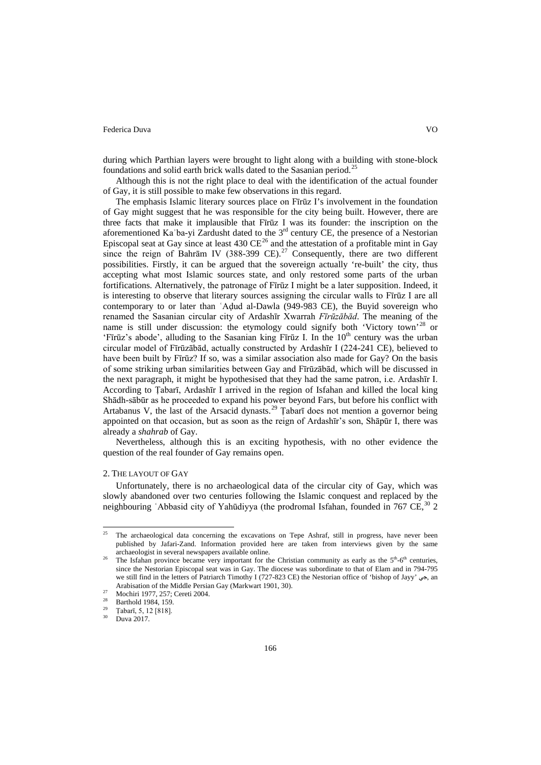during which Parthian layers were brought to light along with a building with stone-block foundations and solid earth brick walls dated to the Sasanian period.<sup>[25](#page-2-0)</sup>

Although this is not the right place to deal with the identification of the actual founder of Gay, it is still possible to make few observations in this regard.

The emphasis Islamic literary sources place on Fīrūz I's involvement in the foundation of Gay might suggest that he was responsible for the city being built. However, there are three facts that make it implausible that Fīrūz I was its founder: the inscription on the aforementioned Ka'ba-yi Zardusht dated to the  $3<sup>rd</sup>$  century CE, the presence of a Nestorian Episcopal seat at Gay since at least 430  $CE^{26}$  $CE^{26}$  $CE^{26}$  and the attestation of a profitable mint in Gay since the reign of Bahrām IV (388-399 CE).<sup>[27](#page-3-1)</sup> Consequently, there are two different possibilities. Firstly, it can be argued that the sovereign actually 're-built' the city, thus accepting what most Islamic sources state, and only restored some parts of the urban fortifications. Alternatively, the patronage of Fīrūz I might be a later supposition. Indeed, it is interesting to observe that literary sources assigning the circular walls to Fīrūz I are all contemporary to or later than ʿAḍud al-Dawla (949-983 CE), the Buyid sovereign who renamed the Sasanian circular city of Ardashīr Xwarrah *Fīrūzābād*. The meaning of the name is still under discussion: the etymology could signify both 'Victory town'<sup>[28](#page-3-2)</sup> or 'Fīrūz's abode', alluding to the Sasanian king Fīrūz I. In the  $10<sup>th</sup>$  century was the urban circular model of Fīrūzābād, actually constructed by Ardashīr I (224-241 CE), believed to have been built by Fīrūz? If so, was a similar association also made for Gay? On the basis of some striking urban similarities between Gay and Fīrūzābād, which will be discussed in the next paragraph, it might be hypothesised that they had the same patron, i.e. Ardashīr I. According to Ṭabarī, Ardashīr I arrived in the region of Isfahan and killed the local king Shādh-sābūr as he proceeded to expand his power beyond Fars, but before his conflict with Artabanus V, the last of the Arsacid dynasts.<sup>[29](#page-3-3)</sup> Tabar<del>i</del> does not mention a governor being appointed on that occasion, but as soon as the reign of Ardashīr's son, Shāpūr I, there was already a *shahrab* of Gay.

Nevertheless, although this is an exciting hypothesis, with no other evidence the question of the real founder of Gay remains open.

## 2. THE LAYOUT OF GAY

Unfortunately, there is no archaeological data of the circular city of Gay, which was slowly abandoned over two centuries following the Islamic conquest and replaced by the neighbouring 'Abbasid city of Yahūdiyya (the prodromal Isfahan, founded in 767 CE,<sup>[30](#page-3-4)</sup> 2

<sup>&</sup>lt;sup>25</sup> The archaeological data concerning the excavations on Tepe Ashraf, still in progress, have never been published by Jafari-Zand. Information provided here are taken from interviews given by the same archaeologist in several newspapers available online.

<span id="page-3-5"></span><span id="page-3-0"></span>The Isfahan province became very important for the Christian community as early as the  $5<sup>th</sup>-6<sup>th</sup>$  centuries, since the Nestorian Episcopal seat was in Gay. The diocese was subordinate to that of Elam and in 794-795 we still find in the letters of Patriarch Timothy I (727-823 CE) the Nestorian office of 'bishop of Jayy' جي, an Arabisation of the Middle Persian Gay (Markwart 1901, 30).

<span id="page-3-1"></span><sup>27</sup> Mochiri 1977, 257; Cereti 2004.

<span id="page-3-3"></span><span id="page-3-2"></span> $\frac{28}{29}$  Barthold 1984, 159.

 $\frac{29}{30}$  Tabarī, 5, 12 [818].

<span id="page-3-4"></span>Duva 2017.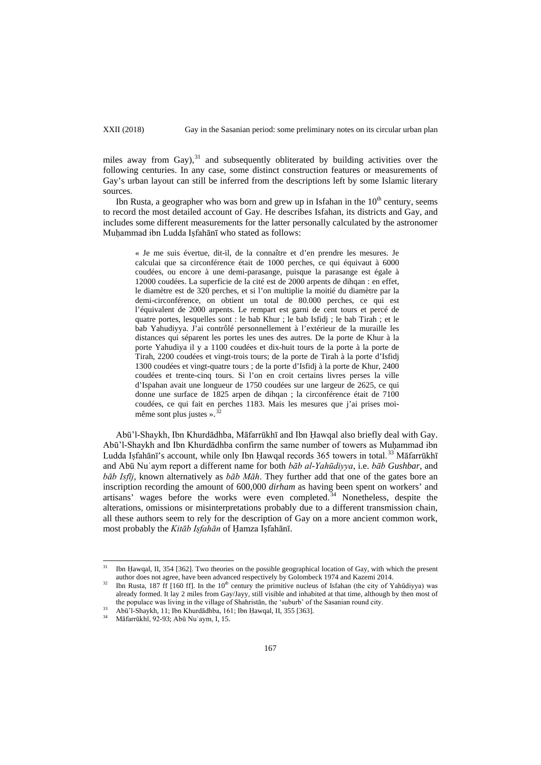miles away from Gay),<sup>[31](#page-3-5)</sup> and subsequently obliterated by building activities over the following centuries. In any case, some distinct construction features or measurements of Gay's urban layout can still be inferred from the descriptions left by some Islamic literary sources.

Ibn Rusta, a geographer who was born and grew up in Isfahan in the  $10<sup>th</sup>$  century, seems to record the most detailed account of Gay. He describes Isfahan, its districts and Gay, and includes some different measurements for the latter personally calculated by the astronomer Muḥammad ibn Ludda Iṣfahānī who stated as follows:

« Je me suis évertue, dit-il, de la connaître et d'en prendre les mesures. Je calculai que sa circonférence était de 1000 perches, ce qui équivaut à 6000 coudées, ou encore à une demi-parasange, puisque la parasange est égale à 12000 coudées. La superficie de la cité est de 2000 arpents de dihqan : en effet, le diamètre est de 320 perches, et si l'on multiplie la moitié du diamètre par la demi-circonférence, on obtient un total de 80.000 perches, ce qui est l'équivalent de 2000 arpents. Le rempart est garni de cent tours et percé de quatre portes, lesquelles sont : le bab Khur ; le bab Isfidj ; le bab Tirah ; et le bab Yahudiyya. J'ai contrôlé personnellement à l'extérieur de la muraille les distances qui séparent les portes les unes des autres. De la porte de Khur à la porte Yahudiya il y a 1100 coudées et dix-huit tours de la porte à la porte de Tirah, 2200 coudées et vingt-trois tours; de la porte de Tirah à la porte d'Isfidj 1300 coudées et vingt-quatre tours ; de la porte d'Isfidj à la porte de Khur, 2400 coudées et trente-cinq tours. Si l'on en croit certains livres perses la ville d'Ispahan avait une longueur de 1750 coudées sur une largeur de 2625, ce qui donne une surface de 1825 arpen de dihqan ; la circonférence était de 7100 coudées, ce qui fait en perches 1183. Mais les mesures que j'ai prises moi-[32](#page-4-0) même sont plus justes ».

Abū'l-Shaykh, Ibn Khurdādhba, Māfarrūkhī and Ibn Ḥawqal also briefly deal with Gay. Abū'l-Shaykh and Ibn Khurdādhba confirm the same number of towers as Muhammad ibn Ludda Iṣfahānī's account, while only Ibn Ḥawqal records 365 towers in total.<sup>[33](#page-4-1)</sup> Māfarrūkhī and Abū Nuʿaym report a different name for both *bāb al-Yahūdiyya*, i.e. *bāb Gushbar*, and *bāb Isfīj*, known alternatively as *bāb Māh*. They further add that one of the gates bore an inscription recording the amount of 600,000 *dirham* as having been spent on workers' and artisans' wages before the works were even completed. $34$  Nonetheless, despite the alterations, omissions or misinterpretations probably due to a different transmission chain, all these authors seem to rely for the description of Gay on a more ancient common work, most probably the *Kitāb Iṣfahān* of Ḥamza Iṣfahānī.

<sup>&</sup>lt;sup>31</sup> Ibn Ḥawqal, II, 354 [362]. Two theories on the possible geographical location of Gay, with which the present author does not agree, have been advanced respectively by Golombeck 1974 and Kazemi 2014.

<span id="page-4-0"></span><sup>&</sup>lt;sup>32</sup> Ibn Rusta, 187 ff [160 ff]. In the 10<sup>th</sup> century the primitive nucleus of Isfahan (the city of Yahūdiyya) was already formed. It lay 2 miles from Gay/Jayy, still visible and inhabited at that time, although by then most of the populace was living in the village of Shahristān, the 'suburb' of the Sasanian round city.

<span id="page-4-3"></span><span id="page-4-2"></span><span id="page-4-1"></span><sup>33</sup> Abū'l-Shaykh, 11; Ibn Khurdādhba, 161; Ibn Ḥawqal, II, 355 [363].

<sup>34</sup> Māfarrūkhī, 92-93; Abū Nuʿaym, I, 15.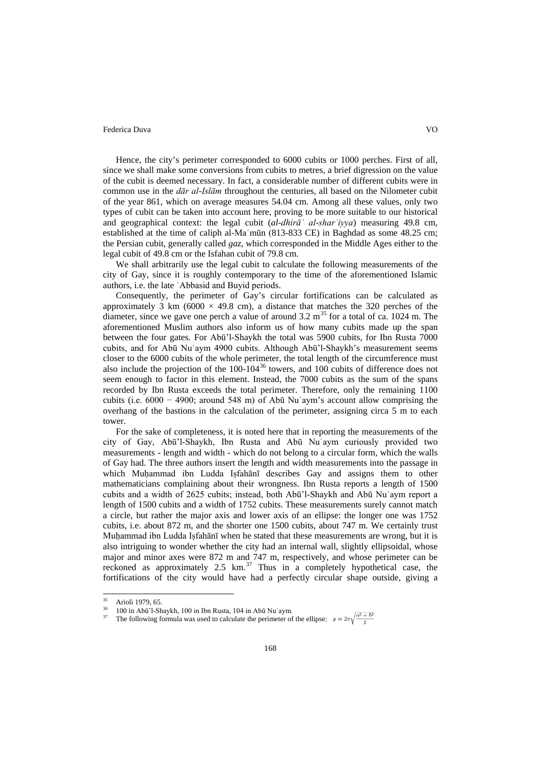Hence, the city's perimeter corresponded to 6000 cubits or 1000 perches. First of all, since we shall make some conversions from cubits to metres, a brief digression on the value of the cubit is deemed necessary. In fact, a considerable number of different cubits were in common use in the *dār al-Islām* throughout the centuries, all based on the Nilometer cubit of the year 861, which on average measures 54.04 cm. Among all these values, only two types of cubit can be taken into account here, proving to be more suitable to our historical and geographical context: the legal cubit (*al-dhirāʿ al-sharʿiyya*) measuring 49.8 cm, established at the time of caliph al-Maʾmūn (813-833 CE) in Baghdad as some 48.25 cm; the Persian cubit, generally called *gaz*, which corresponded in the Middle Ages either to the legal cubit of 49.8 cm or the Isfahan cubit of 79.8 cm.

We shall arbitrarily use the legal cubit to calculate the following measurements of the city of Gay, since it is roughly contemporary to the time of the aforementioned Islamic authors, i.e. the late ʿAbbasid and Buyid periods.

Consequently, the perimeter of Gay's circular fortifications can be calculated as approximately 3 km (6000  $\times$  49.8 cm), a distance that matches the 320 perches of the diameter, since we gave one perch a value of around  $3.2 \text{ m}^{35}$  $3.2 \text{ m}^{35}$  $3.2 \text{ m}^{35}$  for a total of ca. 1024 m. The aforementioned Muslim authors also inform us of how many cubits made up the span between the four gates. For Abū'l-Shaykh the total was 5900 cubits, for Ibn Rusta 7000 cubits, and for Abū Nuʿaym 4900 cubits. Although Abū'l-Shaykh's measurement seems closer to the 6000 cubits of the whole perimeter, the total length of the circumference must also include the projection of the  $100-104^{36}$  $100-104^{36}$  $100-104^{36}$  towers, and  $100$  cubits of difference does not seem enough to factor in this element. Instead, the 7000 cubits as the sum of the spans recorded by Ibn Rusta exceeds the total perimeter. Therefore, only the remaining 1100 cubits (i.e. 6000 − 4900; around 548 m) of Abū Nuʿaym's account allow comprising the overhang of the bastions in the calculation of the perimeter, assigning circa 5 m to each tower.

For the sake of completeness, it is noted here that in reporting the measurements of the city of Gay, Abū'l-Shaykh, Ibn Rusta and Abū Nuʿaym curiously provided two measurements - length and width - which do not belong to a circular form, which the walls of Gay had. The three authors insert the length and width measurements into the passage in which Muḥammad ibn Ludda Iṣfahānī describes Gay and assigns them to other mathematicians complaining about their wrongness. Ibn Rusta reports a length of 1500 cubits and a width of 2625 cubits; instead, both Abū'l-Shaykh and Abū Nuʿaym report a length of 1500 cubits and a width of 1752 cubits. These measurements surely cannot match a circle, but rather the major axis and lower axis of an ellipse: the longer one was 1752 cubits, i.e. about 872 m, and the shorter one 1500 cubits, about 747 m. We certainly trust Muhammad ibn Ludda Isfahānī when he stated that these measurements are wrong, but it is also intriguing to wonder whether the city had an internal wall, slightly ellipsoidal, whose major and minor axes were 872 m and 747 m, respectively, and whose perimeter can be reckoned as approximately  $2.5 \text{ km.}^{37}$  $2.5 \text{ km.}^{37}$  $2.5 \text{ km.}^{37}$  Thus in a completely hypothetical case, the fortifications of the city would have had a perfectly circular shape outside, giving a

<span id="page-5-2"></span> $35$  Arioli 1979, 65.

<span id="page-5-1"></span><span id="page-5-0"></span><sup>36</sup> 100 in Abū'l-Shaykh, 100 in Ibn Rusta, 104 in Abū Nuʿaym.

The following formula was used to calculate the perimeter of the ellipse:  $p \approx 2\pi \sqrt{\frac{a^2 + b^2}{2}}$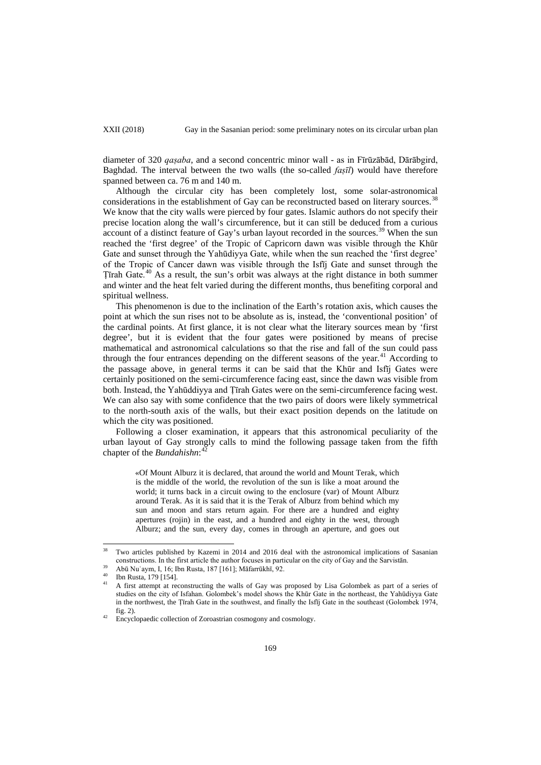XXII (2018) Gay in the Sasanian period: some preliminary notes on its circular urban plan

diameter of 320 *qaṣaba*, and a second concentric minor wall - as in Fīrūzābād, Dārābgird, Baghdad. The interval between the two walls (the so-called *faṣīl*) would have therefore spanned between ca. 76 m and 140 m.

Although the circular city has been completely lost, some solar-astronomical considerations in the establishment of Gay can be reconstructed based on literary sources.<sup>[38](#page-5-2)</sup> We know that the city walls were pierced by four gates. Islamic authors do not specify their precise location along the wall's circumference, but it can still be deduced from a curious account of a distinct feature of Gay's urban layout recorded in the sources.<sup>[39](#page-6-0)</sup> When the sun reached the 'first degree' of the Tropic of Capricorn dawn was visible through the Khūr Gate and sunset through the Yahūdiyya Gate, while when the sun reached the 'first degree' of the Tropic of Cancer dawn was visible through the Isfīj Gate and sunset through the Ṭīrah Gate.[40](#page-6-1) As a result, the sun's orbit was always at the right distance in both summer and winter and the heat felt varied during the different months, thus benefiting corporal and spiritual wellness.

This phenomenon is due to the inclination of the Earth's rotation axis, which causes the point at which the sun rises not to be absolute as is, instead, the 'conventional position' of the cardinal points. At first glance, it is not clear what the literary sources mean by 'first degree', but it is evident that the four gates were positioned by means of precise mathematical and astronomical calculations so that the rise and fall of the sun could pass through the four entrances depending on the different seasons of the year.<sup>[41](#page-6-2)</sup> According to the passage above, in general terms it can be said that the Khūr and Isfīj Gates were certainly positioned on the semi-circumference facing east, since the dawn was visible from both. Instead, the Yahūddiyya and Ṭīrah Gates were on the semi-circumference facing west. We can also say with some confidence that the two pairs of doors were likely symmetrical to the north-south axis of the walls, but their exact position depends on the latitude on which the city was positioned.

Following a closer examination, it appears that this astronomical peculiarity of the urban layout of Gay strongly calls to mind the following passage taken from the fifth chapter of the *Bundahishn*: [42](#page-6-3)

«Of Mount Alburz it is declared, that around the world and Mount Terak, which is the middle of the world, the revolution of the sun is like a moat around the world; it turns back in a circuit owing to the enclosure (var) of Mount Alburz around Terak. As it is said that it is the Terak of Alburz from behind which my sun and moon and stars return again. For there are a hundred and eighty apertures (rojin) in the east, and a hundred and eighty in the west, through Alburz; and the sun, every day, comes in through an aperture, and goes out

Two articles published by Kazemi in 2014 and 2016 deal with the astronomical implications of Sasanian constructions. In the first article the author focuses in particular on the city of Gay and the Sarvistān.

<sup>39</sup> Abū Nuʿaym, I, 16; Ibn Rusta, 187 [161]; Māfarrūkhī, 92.

<span id="page-6-2"></span><span id="page-6-1"></span><span id="page-6-0"></span><sup>40</sup> Ibn Rusta, 179 [154].

<span id="page-6-4"></span><sup>41</sup> A first attempt at reconstructing the walls of Gay was proposed by Lisa Golombek as part of a series of studies on the city of Isfahan. Golombek's model shows the Khūr Gate in the northeast, the Yahūdiyya Gate in the northwest, the Ṭīrah Gate in the southwest, and finally the Isfīj Gate in the southeast (Golombek 1974, fig. 2).

<span id="page-6-3"></span>Encyclopaedic collection of Zoroastrian cosmogony and cosmology.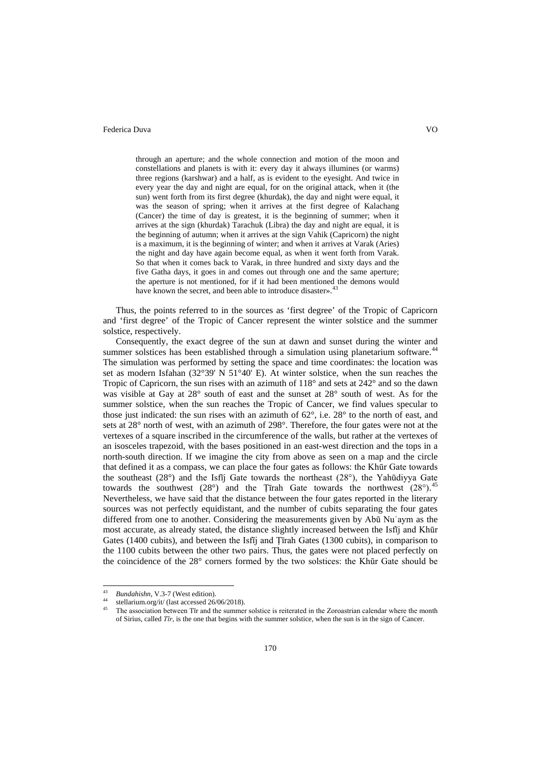through an aperture; and the whole connection and motion of the moon and constellations and planets is with it: every day it always illumines (or warms) three regions (karshwar) and a half, as is evident to the eyesight. And twice in every year the day and night are equal, for on the original attack, when it (the sun) went forth from its first degree (khurdak), the day and night were equal, it was the season of spring; when it arrives at the first degree of Kalachang (Cancer) the time of day is greatest, it is the beginning of summer; when it arrives at the sign (khurdak) Tarachuk (Libra) the day and night are equal, it is the beginning of autumn; when it arrives at the sign Vahik (Capricorn) the night is a maximum, it is the beginning of winter; and when it arrives at Varak (Aries) the night and day have again become equal, as when it went forth from Varak. So that when it comes back to Varak, in three hundred and sixty days and the five Gatha days, it goes in and comes out through one and the same aperture; the aperture is not mentioned, for if it had been mentioned the demons would have known the secret, and been able to introduce disaster».<sup>[43](#page-6-4)</sup>

Thus, the points referred to in the sources as 'first degree' of the Tropic of Capricorn and 'first degree' of the Tropic of Cancer represent the winter solstice and the summer solstice, respectively.

Consequently, the exact degree of the sun at dawn and sunset during the winter and summer solstices has been established through a simulation using planetarium software.<sup>[44](#page-7-0)</sup> The simulation was performed by setting the space and time coordinates: the location was set as modern Isfahan (32°39' N 51°40' E). At winter solstice, when the sun reaches the Tropic of Capricorn, the sun rises with an azimuth of  $118^{\circ}$  and sets at  $242^{\circ}$  and so the dawn was visible at Gay at 28° south of east and the sunset at 28° south of west. As for the summer solstice, when the sun reaches the Tropic of Cancer, we find values specular to those just indicated: the sun rises with an azimuth of  $62^\circ$ , i.e.  $28^\circ$  to the north of east, and sets at 28° north of west, with an azimuth of 298°. Therefore, the four gates were not at the vertexes of a square inscribed in the circumference of the walls, but rather at the vertexes of an isosceles trapezoid, with the bases positioned in an east-west direction and the tops in a north-south direction. If we imagine the city from above as seen on a map and the circle that defined it as a compass, we can place the four gates as follows: the Khūr Gate towards the southeast (28°) and the Isfīj Gate towards the northeast (28°), the Yahūdiyya Gate towards the southwest  $(28^{\circ})$  and the Țīrah Gate towards the northwest  $(28^{\circ})$ .<sup>[45](#page-7-1)</sup> Nevertheless, we have said that the distance between the four gates reported in the literary sources was not perfectly equidistant, and the number of cubits separating the four gates differed from one to another. Considering the measurements given by Abū Nuʿaym as the most accurate, as already stated, the distance slightly increased between the Isfīj and Khūr Gates (1400 cubits), and between the Isfīj and Ṭīrah Gates (1300 cubits), in comparison to the 1100 cubits between the other two pairs. Thus, the gates were not placed perfectly on the coincidence of the 28° corners formed by the two solstices: the Khūr Gate should be

<span id="page-7-2"></span> <sup>43</sup> *Bundahishn*, V.3-7 (West edition).

<span id="page-7-0"></span><sup>&</sup>lt;sup>44</sup> stellarium.org/it/ (last accessed 26/06/2018).

<span id="page-7-1"></span><sup>45</sup> The association between Tīr and the summer solstice is reiterated in the Zoroastrian calendar where the month of Sirius, called *Tīr*, is the one that begins with the summer solstice, when the sun is in the sign of Cancer.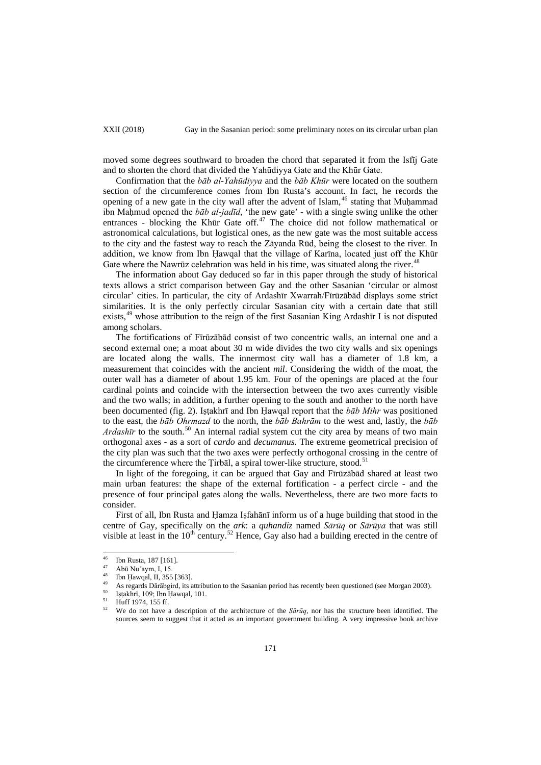moved some degrees southward to broaden the chord that separated it from the Isfīj Gate and to shorten the chord that divided the Yahūdiyya Gate and the Khūr Gate.

Confirmation that the *bāb al-Yahūdiyya* and the *bāb Khūr* were located on the southern section of the circumference comes from Ibn Rusta's account. In fact, he records the opening of a new gate in the city wall after the advent of Islam,  $46$  stating that Muhammad ibn Maḥmud opened the *bāb al-jadīd*, 'the new gate' - with a single swing unlike the other entrances - blocking the Khūr Gate off. [47](#page-8-0) The choice did not follow mathematical or astronomical calculations, but logistical ones, as the new gate was the most suitable access to the city and the fastest way to reach the Zāyanda Rūd, being the closest to the river. In addition, we know from Ibn Ḥawqal that the village of Karīna, located just off the Khūr Gate where the Nawrūz celebration was held in his time, was situated along the river.<sup>[48](#page-8-1)</sup>

The information about Gay deduced so far in this paper through the study of historical texts allows a strict comparison between Gay and the other Sasanian 'circular or almost circular' cities. In particular, the city of Ardashīr Xwarrah/Fīrūzābād displays some strict similarities. It is the only perfectly circular Sasanian city with a certain date that still exists,<sup>[49](#page-8-2)</sup> whose attribution to the reign of the first Sasanian King Ardashir I is not disputed among scholars.

The fortifications of Fīrūzābād consist of two concentric walls, an internal one and a second external one; a moat about 30 m wide divides the two city walls and six openings are located along the walls. The innermost city wall has a diameter of 1.8 km, a measurement that coincides with the ancient *mil*. Considering the width of the moat, the outer wall has a diameter of about 1.95 km. Four of the openings are placed at the four cardinal points and coincide with the intersection between the two axes currently visible and the two walls; in addition, a further opening to the south and another to the north have been documented (fig. 2). Istakhrī and Ibn Hawqal report that the *bāb Mihr* was positioned to the east, the *bāb Ohrmazd* to the north, the *bāb Bahrām* to the west and, lastly, the *bāb*  Ardashīr to the south.<sup>[50](#page-8-3)</sup> An internal radial system cut the city area by means of two main orthogonal axes - as a sort of *cardo* and *decumanus.* The extreme geometrical precision of the city plan was such that the two axes were perfectly orthogonal crossing in the centre of the circumference where the Tirbāl, a spiral tower-like structure, stood.<sup>[51](#page-8-4)</sup>

In light of the foregoing, it can be argued that Gay and Fīrūzābād shared at least two main urban features: the shape of the external fortification - a perfect circle - and the presence of four principal gates along the walls. Nevertheless, there are two more facts to consider.

First of all, Ibn Rusta and Ḥamza Iṣfahānī inform us of a huge building that stood in the centre of Gay, specifically on the *ark*: a *quhandiz* named *Sārūq* or *Sārūya* that was still visible at least in the  $10<sup>th</sup>$  century.<sup>[52](#page-8-5)</sup> Hence, Gay also had a building erected in the centre of

<span id="page-8-0"></span> $^{46}$  Ibn Rusta, 187 [161].<br>  $^{47}$  Abū Nuʿaym, I, 15.

Ibn Ḥawqal, II, 355 [363].

<span id="page-8-2"></span><span id="page-8-1"></span><sup>49</sup> As regards Dārābgird, its attribution to the Sasanian period has recently been questioned (see Morgan 2003).

<span id="page-8-3"></span> $^{50}$  Iṣṭakhrī, 109; Ibn Ḥawqal, 101.

 $^{51}$  Huff 1974, 155 ff.

<span id="page-8-5"></span><span id="page-8-4"></span><sup>52</sup> We do not have a description of the architecture of the *Sārūq*, nor has the structure been identified. The sources seem to suggest that it acted as an important government building. A very impressive book archive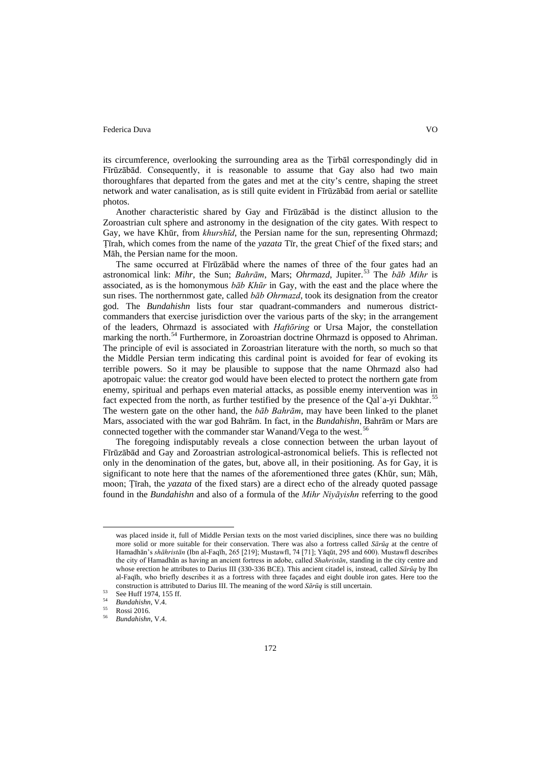its circumference, overlooking the surrounding area as the Ṭirbāl correspondingly did in Fīrūzābād. Consequently, it is reasonable to assume that Gay also had two main thoroughfares that departed from the gates and met at the city's centre, shaping the street network and water canalisation, as is still quite evident in Fīrūzābād from aerial or satellite photos.

Another characteristic shared by Gay and Fīrūzābād is the distinct allusion to the Zoroastrian cult sphere and astronomy in the designation of the city gates. With respect to Gay, we have Khūr, from *khurshīd*, the Persian name for the sun, representing Ohrmazd; Ṭīrah, which comes from the name of the *yazata* Tīr, the great Chief of the fixed stars; and Māh, the Persian name for the moon.

The same occurred at Fīrūzābād where the names of three of the four gates had an astronomical link: *Mihr*, the Sun; *Bahrām*, Mars; *Ohrmazd*, Jupiter.<sup>[53](#page-8-3)</sup> The *bab Mihr* is associated, as is the homonymous *bāb Khūr* in Gay, with the east and the place where the sun rises. The northernmost gate, called *bāb Ohrmazd*, took its designation from the creator god. The *Bundahishn* lists four star quadrant-commanders and numerous districtcommanders that exercise jurisdiction over the various parts of the sky; in the arrangement of the leaders, Ohrmazd is associated with *Haftōring* or Ursa Major, the constellation marking the north.<sup>[54](#page-9-0)</sup> Furthermore, in Zoroastrian doctrine Ohrmazd is opposed to Ahriman. The principle of evil is associated in Zoroastrian literature with the north, so much so that the Middle Persian term indicating this cardinal point is avoided for fear of evoking its terrible powers. So it may be plausible to suppose that the name Ohrmazd also had apotropaic value: the creator god would have been elected to protect the northern gate from enemy, spiritual and perhaps even material attacks, as possible enemy intervention was in fact expected from the north, as further testified by the presence of the Qal'a-yi Dukhtar.<sup>[55](#page-9-1)</sup> The western gate on the other hand, the *bāb Bahrām*, may have been linked to the planet Mars, associated with the war god Bahrām. In fact, in the *Bundahishn*, Bahrām or Mars are connected together with the commander star Wanand/Vega to the west.<sup>[56](#page-9-2)</sup>

The foregoing indisputably reveals a close connection between the urban layout of Fīrūzābād and Gay and Zoroastrian astrological-astronomical beliefs. This is reflected not only in the denomination of the gates, but, above all, in their positioning. As for Gay, it is significant to note here that the names of the aforementioned three gates (Khūr, sun; Māh, moon; Ṭīrah, the *yazata* of the fixed stars) are a direct echo of the already quoted passage found in the *Bundahishn* and also of a formula of the *Mihr Niyāyishn* referring to the good

was placed inside it, full of Middle Persian texts on the most varied disciplines, since there was no building more solid or more suitable for their conservation. There was also a fortress called *Sārūq* at the centre of Hamadhān's *shāhristān* (Ibn al-Faqīh, 265 [219]; Mustawfī, 74 [71]; Yāqūt, 295 and 600). Mustawfī describes the city of Hamadhān as having an ancient fortress in adobe, called *Shahristān*, standing in the city centre and whose erection he attributes to Darius III (330-336 BCE). This ancient citadel is, instead, called *Sārūq* by Ibn al-Faqīh, who briefly describes it as a fortress with three façades and eight double iron gates. Here too the construction is attributed to Darius III. The meaning of the word *Sārūq* is still uncertain.

<span id="page-9-3"></span> $53$  See Huff 1974, 155 ff.

<span id="page-9-1"></span><span id="page-9-0"></span><sup>54</sup> *Bundahishn*, V.4.

<sup>55</sup> Rossi 2016.

<span id="page-9-2"></span><sup>56</sup> *Bundahishn*, V.4.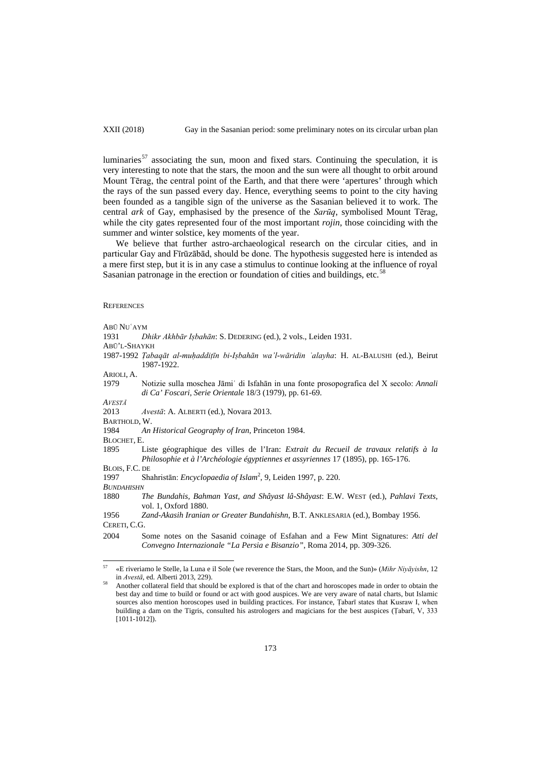luminaries<sup>[57](#page-9-3)</sup> associating the sun, moon and fixed stars. Continuing the speculation, it is very interesting to note that the stars, the moon and the sun were all thought to orbit around Mount Tērag, the central point of the Earth, and that there were 'apertures' through which the rays of the sun passed every day. Hence, everything seems to point to the city having been founded as a tangible sign of the universe as the Sasanian believed it to work. The central *ark* of Gay, emphasised by the presence of the *Sarūq*, symbolised Mount Tērag, while the city gates represented four of the most important *rojin*, those coinciding with the summer and winter solstice, key moments of the year.

We believe that further astro-archaeological research on the circular cities, and in particular Gay and Fīrūzābād, should be done. The hypothesis suggested here is intended as a mere first step, but it is in any case a stimulus to continue looking at the influence of royal Sasanian patronage in the erection or foundation of cities and buildings, etc.<sup>[58](#page-10-0)</sup>

#### **REFERENCES**

ABŪ NUʿAYM

1931 *Dhikr Akhbār Iṣbahān*: S. DEDERING (ed.), 2 vols., Leiden 1931. ABŪ'L-SHAYKH 1987-1992 *Ṭabaqāt al-muḥaddiṭīn bi-Iṣbahān wa'l-wāridin ʿalayha*: H. AL-BALUSHI (ed.), Beirut 1987-1922. ARIOLI, A. 1979 Notizie sulla moschea Jāmiʿ di Isfahān in una fonte prosopografica del X secolo: *Annali di Ca' Foscari, Serie Orientale* 18/3 (1979), pp. 61-69. *AVESTĀ* 2013 *Avestā*: A. ALBERTI (ed.), Novara 2013. BARTHOLD, W. 1984 *An Historical Geography of Iran*, Princeton 1984. BLOCHET, E. 1895 Liste géographique des villes de l'Iran: *Extrait du Recueil de travaux relatifs à la Philosophie et à l'Archéologie égyptiennes et assyriennes* 17 (1895), pp. 165-176. BLOIS, F.C. DE<br>1997 Sha 1997 Shahristān: *Encyclopaedia of Islam*<sup>2</sup> , 9, Leiden 1997, p. 220. *BUNDAHISHN* 1880 *The Bundahis, Bahman Yast, and Shâyast lâ-Shâyast*: E.W. WEST (ed.), *Pahlavi Texts*, vol. 1, Oxford 1880. 1956 *Zand-Akasih Iranian or Greater Bundahishn*, B.T. ANKLESARIA (ed.), Bombay 1956. CERETI, C.G.

2004 Some notes on the Sasanid coinage of Esfahan and a Few Mint Signatures: *Atti del Convegno Internazionale "La Persia e Bisanzio"*, Roma 2014, pp. 309-326.

 <sup>57</sup> «E riveriamo le Stelle, la Luna e il Sole (we reverence the Stars, the Moon, and the Sun)» (*Mihr Niyāyishn*, 12 in *Avestā*, ed. Alberti 2013, 229).

<span id="page-10-0"></span><sup>58</sup> Another collateral field that should be explored is that of the chart and horoscopes made in order to obtain the best day and time to build or found or act with good auspices. We are very aware of natal charts, but Islamic sources also mention horoscopes used in building practices. For instance, Tabarī states that Kusraw I, when building a dam on the Tigris, consulted his astrologers and magicians for the best auspices (Ṭabarī, V, 333 [1011-1012]).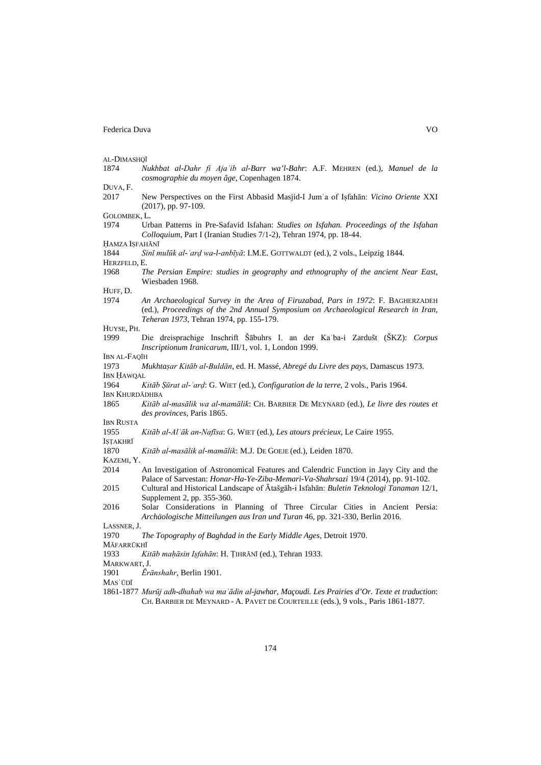1874 *Nukhbat al-Dahr fi Ajaʾib al-Barr wa'l-Bahr*: A.F. MEHREN (ed.), *Manuel de la cosmographie du moyen âge*, Copenhagen 1874.

| DUVA, |  |
|-------|--|
|-------|--|

- 2017 New Perspectives on the First Abbasid Masjid-I Jumʿa of Iṣfahān: *Vicino Oriente* XXI (2017), pp. 97-109.
- GOLOMBEK, L.<br>1974 Ur
- 1974 Urban Patterns in Pre-Safavid Isfahan: *Studies on Isfahan. Proceedings of the Isfahan Colloquium*, Part I (Iranian Studies 7/1-2), Tehran 1974, pp. 18-44.
- ḤAMZA IṢFAHĀNĪ

HERZFELD, E.

1968 *The Persian Empire: studies in geography and ethnography of the ancient Near East*, Wiesbaden 1968.

HUFF, D.

1974 *An Archaeological Survey in the Area of Firuzabad, Pars in 1972*: F. BAGHERZADEH (ed.), *Proceedings of the 2nd Annual Symposium on Archaeological Research in Iran, Teheran 1973*, Tehran 1974, pp. 155-179.

HUYSE, PH.

- 1999 Die dreisprachige Inschrift Šābuhrs I. an der Kaʿba-i Zardušt (ŠKZ): *Corpus Inscriptionum Iranicarum*, III/1, vol. 1, London 1999.
- IBN AL-FAQĪH
- 1973 *Mukhtaṣar Kitāb al-Buldān*, ed. H. Massé, *Abregé du Livre des pays*, Damascus 1973.
- IBN ḤAWQAL<br>1964 K 1964 *Kitāb Ṣūrat al-ʾarḍ*: G. WIET (ed.), *Configuration de la terre*, 2 vols., Paris 1964.
- IBN KHURDĀDHBA
- 1865 *Kitāb al-masālik wa al-mamālik*: CH. BARBIER DE MEYNARD (ed.), *Le livre des routes et des provinces*, Paris 1865.

IBN RUSTA<br>1955

1955 *Kitāb al-Alʿāk an-Nafīsa*: G. WIET (ed.), *Les atours précieux*, Le Caire 1955.

ISTAKHRĪ

- 1870 *Kitāb al-masālik al-mamālik*: M.J. DE GOEJE (ed.), Leiden 1870.
- KAZEMI, Y.
- 2014 An Investigation of Astronomical Features and Calendric Function in Jayy City and the Palace of Sarvestan: *Honar-Ha-Ye-Ziba-Memari-Va-Shahrsazi* 19/4 (2014), pp. 91-102.
- 2015 Cultural and Historical Landscape of Ātašgāh-i Isfahān: *Buletin Teknologi Tanaman* 12/1, Supplement 2, pp. 355-360.
- 2016 Solar Considerations in Planning of Three Circular Cities in Ancient Persia: *Archäologische Mitteilungen aus Iran und Turan* 46, pp. 321-330, Berlin 2016.

LASSNER, J.

1970 *The Topography of Baghdad in the Early Middle Ages*, Detroit 1970.

MĀFARRŪKHĪ

1933 *Kitāb maḥāsin Iṣfahān*: H. ṬIHRĀNĪ (ed.), Tehran 1933.

MARKWART, J.

1901 *Ērānshahr*, Berlin 1901.

MASʿŪDĪ

1861-1877 *Murūj adh-dhahab wa maʾādin al-jawhar*, *Maçoudi. Les Prairies d'Or. Texte et traduction*: CH. BARBIER DE MEYNARD - A. PAVET DE COURTEILLE (eds.), 9 vols., Paris 1861-1877.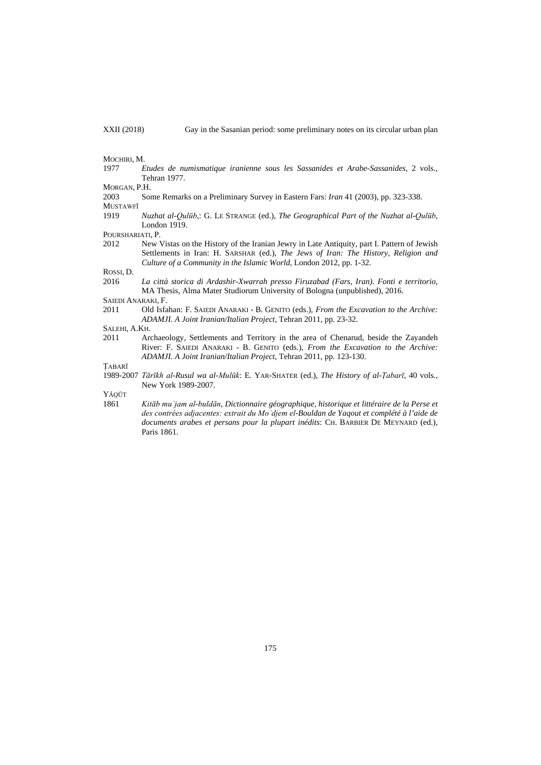#### MOCHIRI, M.

1977 *Etudes de numismatique iranienne sous les Sassanides et Arabe-Sassanides*, 2 vols., Tehran 1977.

MORGAN, P.H.

2003 Some Remarks on a Preliminary Survey in Eastern Fars: *Iran* 41 (2003), pp. 323-338. MUSTAWFĪ

1919 *Nuzhat al-Qulūb*,: G. LE STRANGE (ed.), *The Geographical Part of the Nuzhat al-Qulūb*, London 1919.

POURSHARIATI, P.

2012 New Vistas on the History of the Iranian Jewry in Late Antiquity, part I. Pattern of Jewish Settlements in Iran: H. SARSHAR (ed.), *The Jews of Iran: The History, Religion and Culture of a Community in the Islamic World*, London 2012, pp. 1-32.

ROSSI, D.

2016 *La città storica di Ardashir-Xwarrah presso Firuzabad (Fars, Iran). Fonti e territorio*, MA Thesis, Alma Mater Studiorum University of Bologna (unpublished), 2016.

SAIEDI ANARAKI, F.

2011 Old Isfahan: F. SAIEDI ANARAKI - B. GENITO (eds.), *From the Excavation to the Archive: ADAMJI. A Joint Iranian/Italian Project*, Tehran 2011, pp. 23-32.

SALEHI, A.KH.

2011 Archaeology, Settlements and Territory in the area of Chenarud, beside the Zayandeh River: F. SAIEDI ANARAKI - B. GENITO (eds.), *From the Excavation to the Archive: ADAMJI. A Joint Iranian/Italian Project*, Tehran 2011, pp. 123-130.

**TABAR**<sup>I</sup>

1989-2007 *Tārīkh al-Rusul wa al-Mulūk*: E. YAR-SHATER (ed.), *The History of al-Ṭabarī*, 40 vols., New York 1989-2007.

YĀQŪT

<span id="page-12-0"></span>1861 *Kitāb muʾjam al-buldān*, *Dictionnaire géographique, historique et littéraire de la Perse et des contrées adjacentes: extrait du Moʾdjem el-Bouldan de Yaqout et complété à l'aide de documents arabes et persans pour la plupart inédits*: CH. BARBIER DE MEYNARD (ed.), Paris 1861.